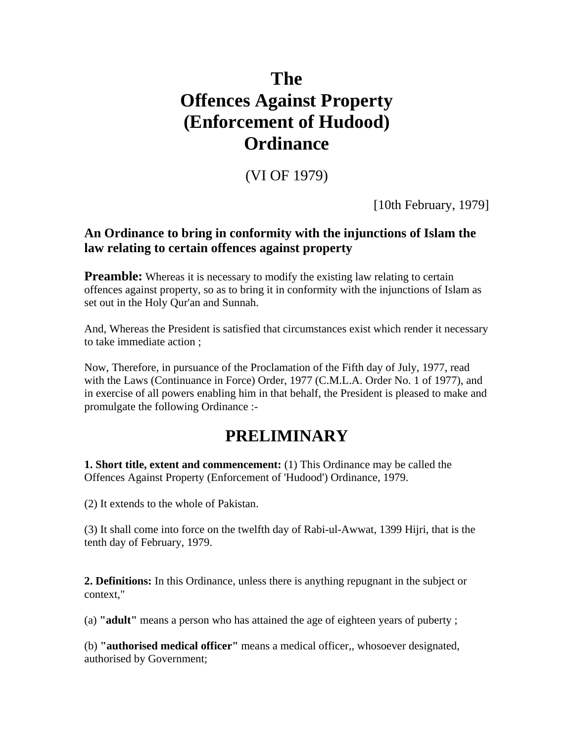# **The Offences Against Property (Enforcement of Hudood) Ordinance**

### (VI OF 1979)

[10th February, 1979]

#### **An Ordinance to bring in conformity with the injunctions of Islam the law relating to certain offences against property**

**Preamble:** Whereas it is necessary to modify the existing law relating to certain offences against property, so as to bring it in conformity with the injunctions of Islam as set out in the Holy Qur'an and Sunnah.

And, Whereas the President is satisfied that circumstances exist which render it necessary to take immediate action ;

Now, Therefore, in pursuance of the Proclamation of the Fifth day of July, 1977, read with the Laws (Continuance in Force) Order, 1977 (C.M.L.A. Order No. 1 of 1977), and in exercise of all powers enabling him in that behalf, the President is pleased to make and promulgate the following Ordinance :-

## **PRELIMINARY**

**1. Short title, extent and commencement:** (1) This Ordinance may be called the Offences Against Property (Enforcement of 'Hudood') Ordinance, 1979.

(2) It extends to the whole of Pakistan.

(3) It shall come into force on the twelfth day of Rabi-ul-Awwat, 1399 Hijri, that is the tenth day of February, 1979.

**2. Definitions:** In this Ordinance, unless there is anything repugnant in the subject or context,"

(a) **"adult"** means a person who has attained the age of eighteen years of puberty ;

(b) **"authorised medical officer"** means a medical officer,, whosoever designated, authorised by Government;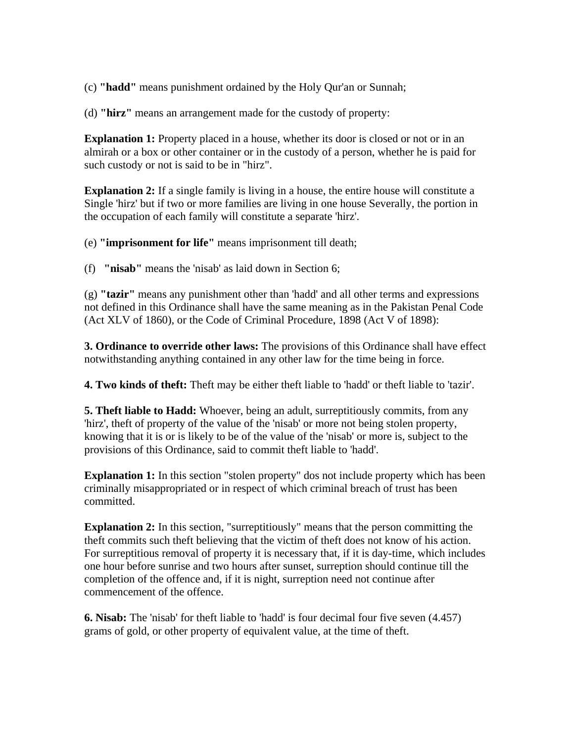(c) **"hadd"** means punishment ordained by the Holy Qur'an or Sunnah;

(d) **"hirz"** means an arrangement made for the custody of property:

**Explanation 1:** Property placed in a house, whether its door is closed or not or in an almirah or a box or other container or in the custody of a person, whether he is paid for such custody or not is said to be in "hirz".

**Explanation 2:** If a single family is living in a house, the entire house will constitute a Single 'hirz' but if two or more families are living in one house Severally, the portion in the occupation of each family will constitute a separate 'hirz'.

(e) **"imprisonment for life"** means imprisonment till death;

(f) **"nisab"** means the 'nisab' as laid down in Section 6;

(g) **"tazir"** means any punishment other than 'hadd' and all other terms and expressions not defined in this Ordinance shall have the same meaning as in the Pakistan Penal Code (Act XLV of 1860), or the Code of Criminal Procedure, 1898 (Act V of 1898):

**3. Ordinance to override other laws:** The provisions of this Ordinance shall have effect notwithstanding anything contained in any other law for the time being in force.

**4. Two kinds of theft:** Theft may be either theft liable to 'hadd' or theft liable to 'tazir'.

**5. Theft liable to Hadd:** Whoever, being an adult, surreptitiously commits, from any 'hirz', theft of property of the value of the 'nisab' or more not being stolen property, knowing that it is or is likely to be of the value of the 'nisab' or more is, subject to the provisions of this Ordinance, said to commit theft liable to 'hadd'.

**Explanation 1:** In this section "stolen property" dos not include property which has been criminally misappropriated or in respect of which criminal breach of trust has been committed.

**Explanation 2:** In this section, "surreptitiously" means that the person committing the theft commits such theft believing that the victim of theft does not know of his action. For surreptitious removal of property it is necessary that, if it is day-time, which includes one hour before sunrise and two hours after sunset, surreption should continue till the completion of the offence and, if it is night, surreption need not continue after commencement of the offence.

**6. Nisab:** The 'nisab' for theft liable to 'hadd' is four decimal four five seven (4.457) grams of gold, or other property of equivalent value, at the time of theft.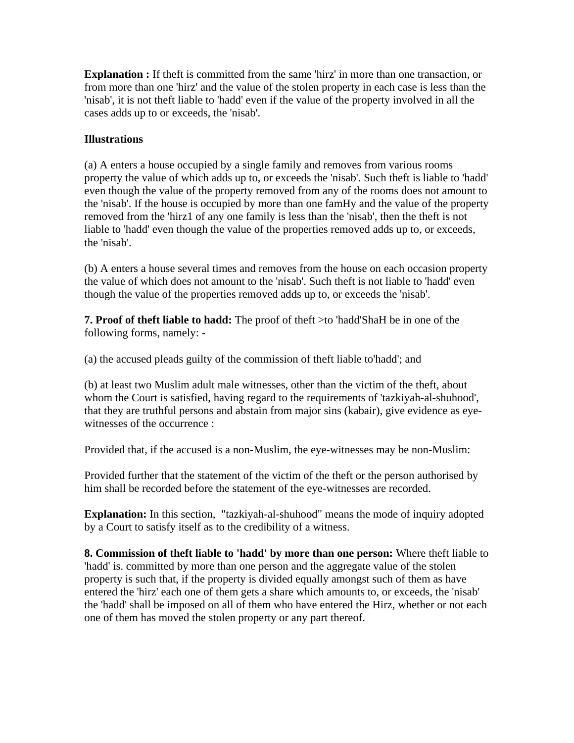**Explanation :** If theft is committed from the same 'hirz' in more than one transaction, or from more than one 'hirz' and the value of the stolen property in each case is less than the 'nisab', it is not theft liable to 'hadd' even if the value of the property involved in all the cases adds up to or exceeds, the 'nisab'.

#### **Illustrations**

(a) A enters a house occupied by a single family and removes from various rooms property the value of which adds up to, or exceeds the 'nisab'. Such theft is liable to 'hadd' even though the value of the property removed from any of the rooms does not amount to the 'nisab'. If the house is occupied by more than one famHy and the value of the property removed from the 'hirz1 of any one family is less than the 'nisab', then the theft is not liable to 'hadd' even though the value of the properties removed adds up to, or exceeds, the 'nisab'.

(b) A enters a house several times and removes from the house on each occasion property the value of which does not amount to the 'nisab'. Such theft is not liable to 'hadd' even though the value of the properties removed adds up to, or exceeds the 'nisab'.

**7. Proof of theft liable to hadd:** The proof of theft >to 'hadd'ShaH be in one of the following forms, namely: -

(a) the accused pleads guilty of the commission of theft liable to'hadd'; and

(b) at least two Muslim adult male witnesses, other than the victim of the theft, about whom the Court is satisfied, having regard to the requirements of 'tazkiyah-al-shuhood', that they are truthful persons and abstain from major sins (kabair), give evidence as eyewitnesses of the occurrence :

Provided that, if the accused is a non-Muslim, the eye-witnesses may be non-Muslim:

Provided further that the statement of the victim of the theft or the person authorised by him shall be recorded before the statement of the eye-witnesses are recorded.

**Explanation:** In this section, "tazkiyah-al-shuhood" means the mode of inquiry adopted by a Court to satisfy itself as to the credibility of a witness.

**8. Commission of theft liable to 'hadd' by more than one person:** Where theft liable to 'hadd' is. committed by more than one person and the aggregate value of the stolen property is such that, if the property is divided equally amongst such of them as have entered the 'hirz' each one of them gets a share which amounts to, or exceeds, the 'nisab' the 'hadd' shall be imposed on all of them who have entered the Hirz, whether or not each one of them has moved the stolen property or any part thereof.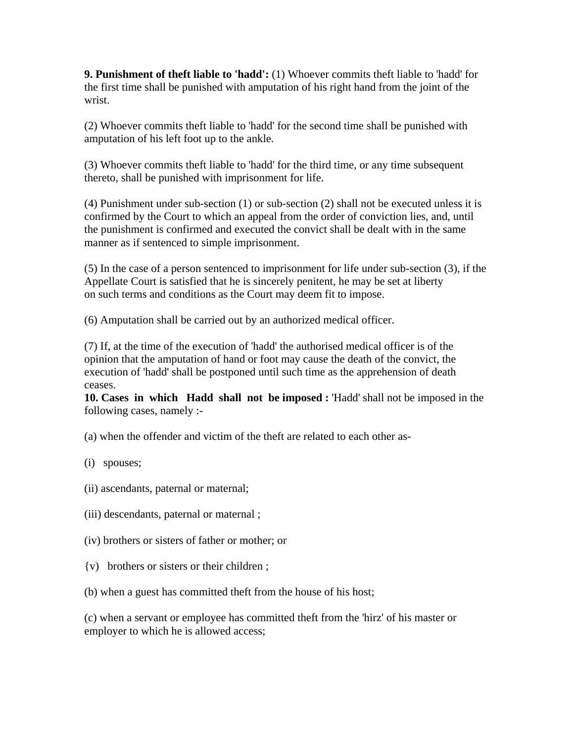**9. Punishment of theft liable to 'hadd':** (1) Whoever commits theft liable to 'hadd' for the first time shall be punished with amputation of his right hand from the joint of the wrist.

(2) Whoever commits theft liable to 'hadd' for the second time shall be punished with amputation of his left foot up to the ankle.

(3) Whoever commits theft liable to 'hadd' for the third time, or any time subsequent thereto, shall be punished with imprisonment for life.

(4) Punishment under sub-section (1) or sub-section (2) shall not be executed unless it is confirmed by the Court to which an appeal from the order of conviction lies, and, until the punishment is confirmed and executed the convict shall be dealt with in the same manner as if sentenced to simple imprisonment.

(5) In the case of a person sentenced to imprisonment for life under sub-section (3), if the Appellate Court is satisfied that he is sincerely penitent, he may be set at liberty on such terms and conditions as the Court may deem fit to impose.

(6) Amputation shall be carried out by an authorized medical officer.

(7) If, at the time of the execution of 'hadd' the authorised medical officer is of the opinion that the amputation of hand or foot may cause the death of the convict, the execution of 'hadd' shall be postponed until such time as the apprehension of death ceases.

**10. Cases in which Hadd shall not be imposed :** 'Hadd' shall not be imposed in the following cases, namely :-

(a) when the offender and victim of the theft are related to each other as-

#### (i) spouses;

- (ii) ascendants, paternal or maternal;
- (iii) descendants, paternal or maternal ;
- (iv) brothers or sisters of father or mother; or
- {v) brothers or sisters or their children ;
- (b) when a guest has committed theft from the house of his host;

(c) when a servant or employee has committed theft from the 'hirz' of his master or employer to which he is allowed access;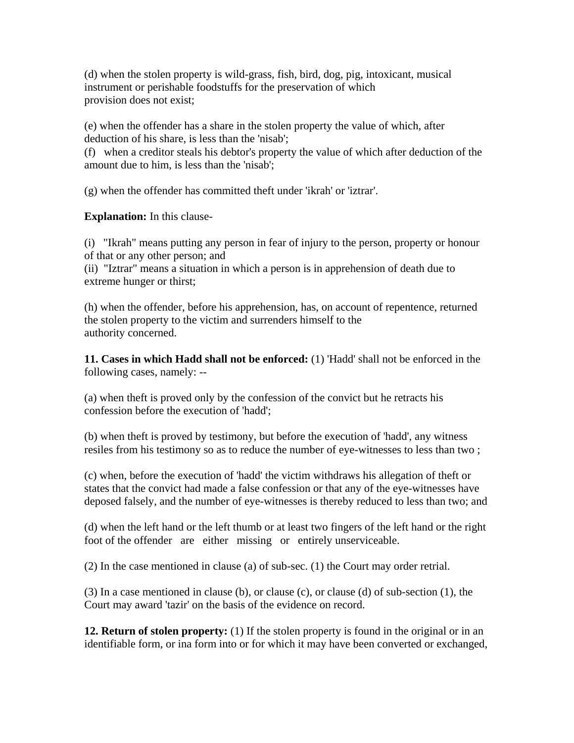(d) when the stolen property is wild-grass, fish, bird, dog, pig, intoxicant, musical instrument or perishable foodstuffs for the preservation of which provision does not exist;

(e) when the offender has a share in the stolen property the value of which, after deduction of his share, is less than the 'nisab';

(f) when a creditor steals his debtor's property the value of which after deduction of the amount due to him, is less than the 'nisab';

(g) when the offender has committed theft under 'ikrah' or 'iztrar'.

**Explanation:** In this clause-

(i) "Ikrah" means putting any person in fear of injury to the person, property or honour of that or any other person; and

(ii) "Iztrar" means a situation in which a person is in apprehension of death due to extreme hunger or thirst;

(h) when the offender, before his apprehension, has, on account of repentence, returned the stolen property to the victim and surrenders himself to the authority concerned.

**11. Cases in which Hadd shall not be enforced:** (1) 'Hadd' shall not be enforced in the following cases, namely: --

(a) when theft is proved only by the confession of the convict but he retracts his confession before the execution of 'hadd';

(b) when theft is proved by testimony, but before the execution of 'hadd', any witness resiles from his testimony so as to reduce the number of eye-witnesses to less than two ;

(c) when, before the execution of 'hadd' the victim withdraws his allegation of theft or states that the convict had made a false confession or that any of the eye-witnesses have deposed falsely, and the number of eye-witnesses is thereby reduced to less than two; and

(d) when the left hand or the left thumb or at least two fingers of the left hand or the right foot of the offender are either missing or entirely unserviceable.

(2) In the case mentioned in clause (a) of sub-sec. (1) the Court may order retrial.

(3) In a case mentioned in clause (b), or clause (c), or clause (d) of sub-section (1), the Court may award 'tazir' on the basis of the evidence on record.

**12. Return of stolen property:** (1) If the stolen property is found in the original or in an identifiable form, or ina form into or for which it may have been converted or exchanged,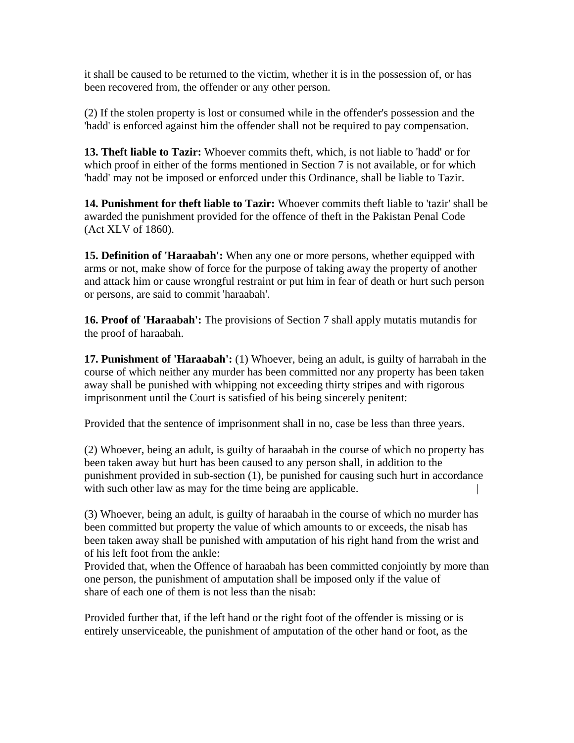it shall be caused to be returned to the victim, whether it is in the possession of, or has been recovered from, the offender or any other person.

(2) If the stolen property is lost or consumed while in the offender's possession and the 'hadd' is enforced against him the offender shall not be required to pay compensation.

**13. Theft liable to Tazir:** Whoever commits theft, which, is not liable to 'hadd' or for which proof in either of the forms mentioned in Section 7 is not available, or for which 'hadd' may not be imposed or enforced under this Ordinance, shall be liable to Tazir.

**14. Punishment for theft liable to Tazir:** Whoever commits theft liable to 'tazir' shall be awarded the punishment provided for the offence of theft in the Pakistan Penal Code (Act XLV of 1860).

**15. Definition of 'Haraabah':** When any one or more persons, whether equipped with arms or not, make show of force for the purpose of taking away the property of another and attack him or cause wrongful restraint or put him in fear of death or hurt such person or persons, are said to commit 'haraabah'.

**16. Proof of 'Haraabah':** The provisions of Section 7 shall apply mutatis mutandis for the proof of haraabah.

**17. Punishment of 'Haraabah':** (1) Whoever, being an adult, is guilty of harrabah in the course of which neither any murder has been committed nor any property has been taken away shall be punished with whipping not exceeding thirty stripes and with rigorous imprisonment until the Court is satisfied of his being sincerely penitent:

Provided that the sentence of imprisonment shall in no, case be less than three years.

(2) Whoever, being an adult, is guilty of haraabah in the course of which no property has been taken away but hurt has been caused to any person shall, in addition to the punishment provided in sub-section (1), be punished for causing such hurt in accordance with such other law as may for the time being are applicable.

(3) Whoever, being an adult, is guilty of haraabah in the course of which no murder has been committed but property the value of which amounts to or exceeds, the nisab has been taken away shall be punished with amputation of his right hand from the wrist and of his left foot from the ankle:

Provided that, when the Offence of haraabah has been committed conjointly by more than one person, the punishment of amputation shall be imposed only if the value of share of each one of them is not less than the nisab:

Provided further that, if the left hand or the right foot of the offender is missing or is entirely unserviceable, the punishment of amputation of the other hand or foot, as the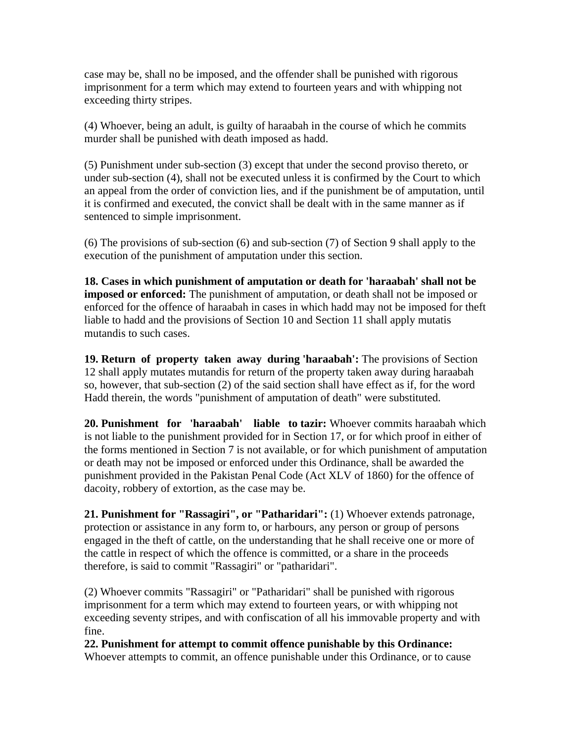case may be, shall no be imposed, and the offender shall be punished with rigorous imprisonment for a term which may extend to fourteen years and with whipping not exceeding thirty stripes.

(4) Whoever, being an adult, is guilty of haraabah in the course of which he commits murder shall be punished with death imposed as hadd.

(5) Punishment under sub-section (3) except that under the second proviso thereto, or under sub-section (4), shall not be executed unless it is confirmed by the Court to which an appeal from the order of conviction lies, and if the punishment be of amputation, until it is confirmed and executed, the convict shall be dealt with in the same manner as if sentenced to simple imprisonment.

(6) The provisions of sub-section (6) and sub-section (7) of Section 9 shall apply to the execution of the punishment of amputation under this section.

**18. Cases in which punishment of amputation or death for 'haraabah' shall not be imposed or enforced:** The punishment of amputation, or death shall not be imposed or enforced for the offence of haraabah in cases in which hadd may not be imposed for theft liable to hadd and the provisions of Section 10 and Section 11 shall apply mutatis mutandis to such cases.

**19. Return of property taken away during 'haraabah':** The provisions of Section 12 shall apply mutates mutandis for return of the property taken away during haraabah so, however, that sub-section (2) of the said section shall have effect as if, for the word Hadd therein, the words "punishment of amputation of death" were substituted.

**20. Punishment for 'haraabah' liable to tazir:** Whoever commits haraabah which is not liable to the punishment provided for in Section 17, or for which proof in either of the forms mentioned in Section 7 is not available, or for which punishment of amputation or death may not be imposed or enforced under this Ordinance, shall be awarded the punishment provided in the Pakistan Penal Code (Act XLV of 1860) for the offence of dacoity, robbery of extortion, as the case may be.

**21. Punishment for "Rassagiri", or "Patharidari":** (1) Whoever extends patronage, protection or assistance in any form to, or harbours, any person or group of persons engaged in the theft of cattle, on the understanding that he shall receive one or more of the cattle in respect of which the offence is committed, or a share in the proceeds therefore, is said to commit "Rassagiri" or "patharidari".

(2) Whoever commits "Rassagiri" or "Patharidari" shall be punished with rigorous imprisonment for a term which may extend to fourteen years, or with whipping not exceeding seventy stripes, and with confiscation of all his immovable property and with fine.

#### **22. Punishment for attempt to commit offence punishable by this Ordinance:**

Whoever attempts to commit, an offence punishable under this Ordinance, or to cause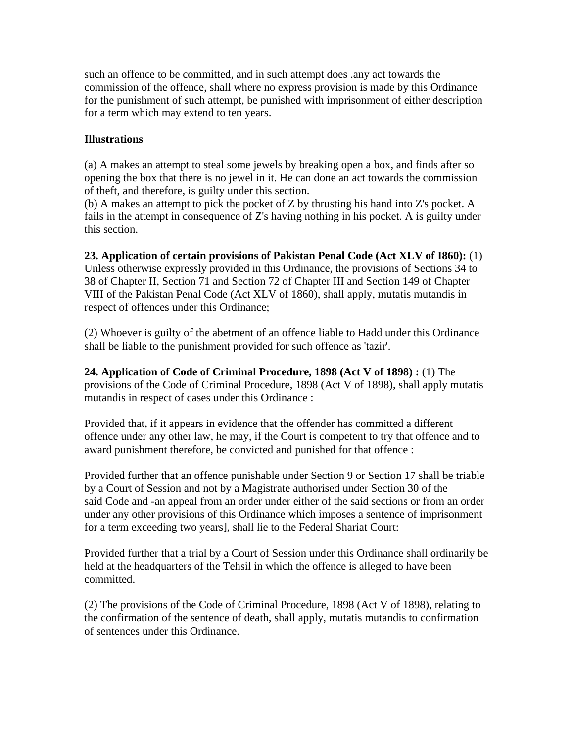such an offence to be committed, and in such attempt does .any act towards the commission of the offence, shall where no express provision is made by this Ordinance for the punishment of such attempt, be punished with imprisonment of either description for a term which may extend to ten years.

#### **Illustrations**

(a) A makes an attempt to steal some jewels by breaking open a box, and finds after so opening the box that there is no jewel in it. He can done an act towards the commission of theft, and therefore, is guilty under this section.

(b) A makes an attempt to pick the pocket of Z by thrusting his hand into Z's pocket. A fails in the attempt in consequence of Z's having nothing in his pocket. A is guilty under this section.

#### **23. Application of certain provisions of Pakistan Penal Code (Act XLV of I860):** (1)

Unless otherwise expressly provided in this Ordinance, the provisions of Sections 34 to 38 of Chapter II, Section 71 and Section 72 of Chapter III and Section 149 of Chapter VIII of the Pakistan Penal Code (Act XLV of 1860), shall apply, mutatis mutandis in respect of offences under this Ordinance;

(2) Whoever is guilty of the abetment of an offence liable to Hadd under this Ordinance shall be liable to the punishment provided for such offence as 'tazir'.

**24. Application of Code of Criminal Procedure, 1898 (Act V of 1898) :** (1) The provisions of the Code of Criminal Procedure, 1898 (Act V of 1898), shall apply mutatis mutandis in respect of cases under this Ordinance :

Provided that, if it appears in evidence that the offender has committed a different offence under any other law, he may, if the Court is competent to try that offence and to award punishment therefore, be convicted and punished for that offence :

Provided further that an offence punishable under Section 9 or Section 17 shall be triable by a Court of Session and not by a Magistrate authorised under Section 30 of the said Code and -an appeal from an order under either of the said sections or from an order under any other provisions of this Ordinance which imposes a sentence of imprisonment for a term exceeding two years], shall lie to the Federal Shariat Court:

Provided further that a trial by a Court of Session under this Ordinance shall ordinarily be held at the headquarters of the Tehsil in which the offence is alleged to have been committed.

(2) The provisions of the Code of Criminal Procedure, 1898 (Act V of 1898), relating to the confirmation of the sentence of death, shall apply, mutatis mutandis to confirmation of sentences under this Ordinance.